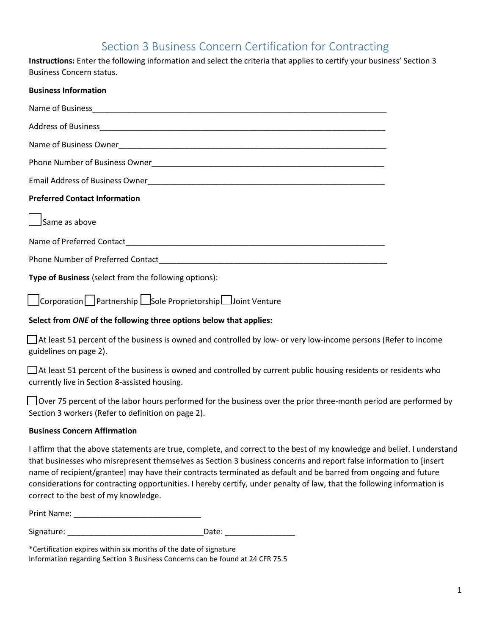# Section 3 Business Concern Certification for Contracting

**Instructions:** Enter the following information and select the criteria that applies to certify your business' Section 3 Business Concern status.

| <b>Business Information</b>                           |  |  |
|-------------------------------------------------------|--|--|
|                                                       |  |  |
|                                                       |  |  |
|                                                       |  |  |
|                                                       |  |  |
|                                                       |  |  |
| <b>Preferred Contact Information</b>                  |  |  |
| $\Box$ Same as above                                  |  |  |
|                                                       |  |  |
|                                                       |  |  |
| Type of Business (select from the following options): |  |  |

☐Corporation ☐Partnership ☐Sole Proprietorship ☐Joint Venture

## **Select from** *ONE* **of the following three options below that applies:**

☐ At least 51 percent of the business is owned and controlled by low- or very low-income persons (Refer to income guidelines on page 2).

☐ At least 51 percent of the business is owned and controlled by current public housing residents or residents who currently live in Section 8-assisted housing.

□ Over 75 percent of the labor hours performed for the business over the prior three-month period are performed by Section 3 workers (Refer to definition on page 2).

### **Business Concern Affirmation**

I affirm that the above statements are true, complete, and correct to the best of my knowledge and belief. I understand that businesses who misrepresent themselves as Section 3 business concerns and report false information to [insert name of recipient/grantee] may have their contracts terminated as default and be barred from ongoing and future considerations for contracting opportunities. I hereby certify, under penalty of law, that the following information is correct to the best of my knowledge.

| Print Name: |  |
|-------------|--|
|             |  |

| Signature: | Date: |
|------------|-------|
|            |       |

\*Certification expires within six months of the date of signature Information regarding Section 3 Business Concerns can be found at 24 CFR 75.5